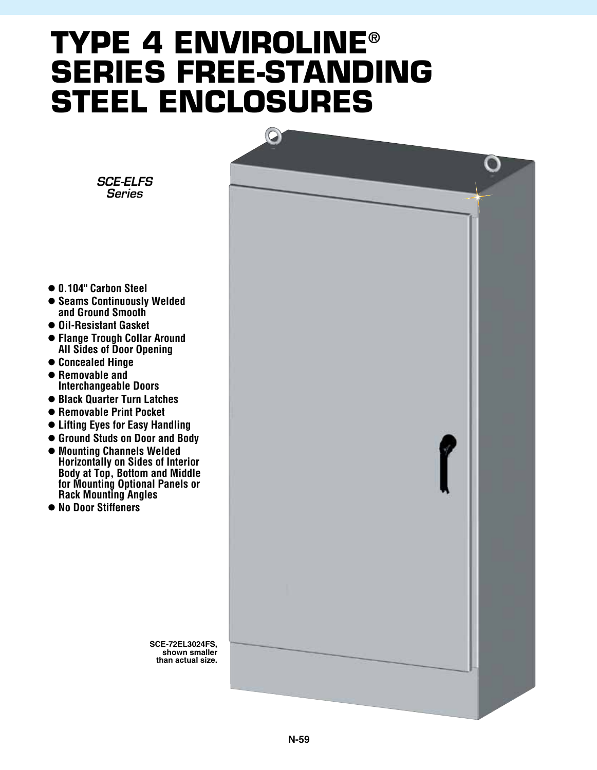## **type 4 enviroline® series free-standing steel enclosures**



- l **0.104" Carbon Steel**
- $\bullet$  **Seams Continuously Welded and Ground Smooth**
- l **Oil-Resistant Gasket**
- $\bullet$  **Flange Trough Collar Around All Sides of Door Opening**
- l **Concealed Hinge**
- $\bullet$  **Removable and**
- **Interchangeable Doors**  $\bullet$  **Black Quarter Turn Latches**
- $\bullet$  **Removable Print Pocket**
- l **Lifting Eyes for Easy Handling**
- l **Ground Studs on Door and Body**
- l **Mounting Channels Welded Horizontally on Sides of Interior Body at Top, Bottom and Middle for Mounting Optional Panels or Rack Mounting Angles**
- No Door Stiffeners